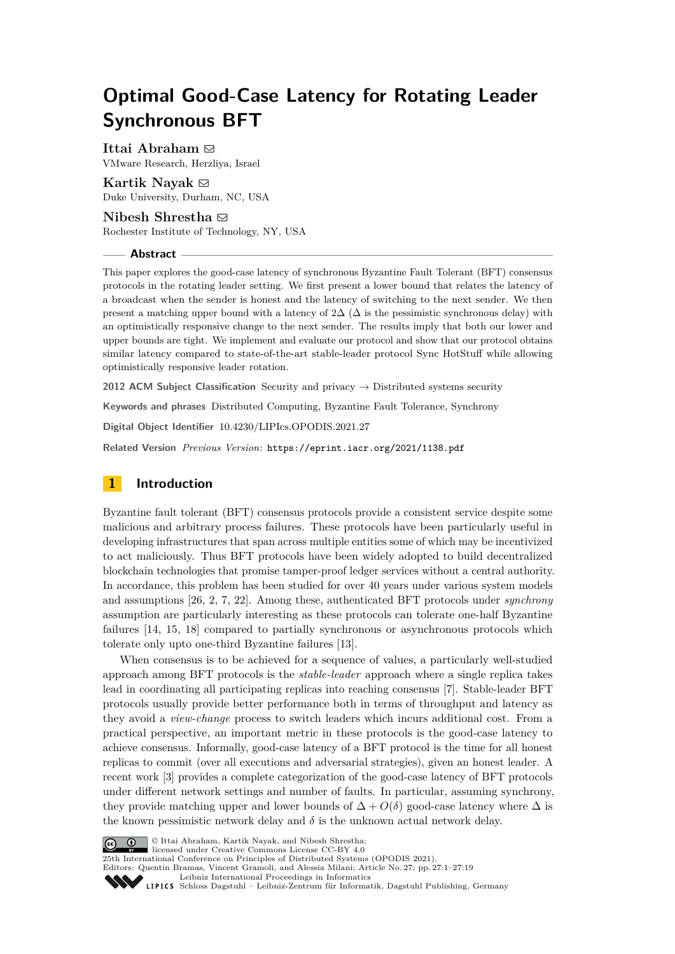# **Optimal Good-Case Latency for Rotating Leader Synchronous BFT**

**Ittai Abraham** ⊠

VMware Research, Herzliya, Israel

**Kartik Nayak**  $\boxtimes$ Duke University, Durham, NC, USA

**Nibesh Shrestha** [#](mailto:nxs4564@rit.edu) Rochester Institute of Technology, NY, USA

#### **Abstract**

This paper explores the good-case latency of synchronous Byzantine Fault Tolerant (BFT) consensus protocols in the rotating leader setting. We first present a lower bound that relates the latency of a broadcast when the sender is honest and the latency of switching to the next sender. We then present a matching upper bound with a latency of  $2\Delta$  ( $\Delta$  is the pessimistic synchronous delay) with an optimistically responsive change to the next sender. The results imply that both our lower and upper bounds are tight. We implement and evaluate our protocol and show that our protocol obtains similar latency compared to state-of-the-art stable-leader protocol Sync HotStuff while allowing optimistically responsive leader rotation.

**2012 ACM Subject Classification** Security and privacy → Distributed systems security

**Keywords and phrases** Distributed Computing, Byzantine Fault Tolerance, Synchrony

**Digital Object Identifier** [10.4230/LIPIcs.OPODIS.2021.27](https://doi.org/10.4230/LIPIcs.OPODIS.2021.27)

**Related Version** *Previous Version*: <https://eprint.iacr.org/2021/1138.pdf>

# **1 Introduction**

Byzantine fault tolerant (BFT) consensus protocols provide a consistent service despite some malicious and arbitrary process failures. These protocols have been particularly useful in developing infrastructures that span across multiple entities some of which may be incentivized to act maliciously. Thus BFT protocols have been widely adopted to build decentralized blockchain technologies that promise tamper-proof ledger services without a central authority. In accordance, this problem has been studied for over 40 years under various system models and assumptions [\[26,](#page-16-0) [2,](#page-15-0) [7,](#page-15-1) [22\]](#page-16-1). Among these, authenticated BFT protocols under *synchrony* assumption are particularly interesting as these protocols can tolerate one-half Byzantine failures [\[14,](#page-15-2) [15,](#page-15-3) [18\]](#page-15-4) compared to partially synchronous or asynchronous protocols which tolerate only upto one-third Byzantine failures [\[13\]](#page-15-5).

When consensus is to be achieved for a sequence of values, a particularly well-studied approach among BFT protocols is the *stable-leader* approach where a single replica takes lead in coordinating all participating replicas into reaching consensus [\[7\]](#page-15-1). Stable-leader BFT protocols usually provide better performance both in terms of throughput and latency as they avoid a *view-change* process to switch leaders which incurs additional cost. From a practical perspective, an important metric in these protocols is the good-case latency to achieve consensus. Informally, good-case latency of a BFT protocol is the time for all honest replicas to commit (over all executions and adversarial strategies), given an honest leader. A recent work [\[3\]](#page-15-6) provides a complete categorization of the good-case latency of BFT protocols under different network settings and number of faults. In particular, assuming synchrony, they provide matching upper and lower bounds of  $\Delta + O(\delta)$  good-case latency where  $\Delta$  is the known pessimistic network delay and  $\delta$  is the unknown actual network delay.



© Ittai Abraham, Kartik Nayak, and Nibesh Shrestha;

licensed under Creative Commons License CC-BY 4.0

25th International Conference on Principles of Distributed Systems (OPODIS 2021). Editors: Quentin Bramas, Vincent Gramoli, and Alessia Milani; Article No. 27; pp. 27:1–27:19

[Leibniz International Proceedings in Informatics](https://www.dagstuhl.de/lipics/)

[Schloss Dagstuhl – Leibniz-Zentrum für Informatik, Dagstuhl Publishing, Germany](https://www.dagstuhl.de)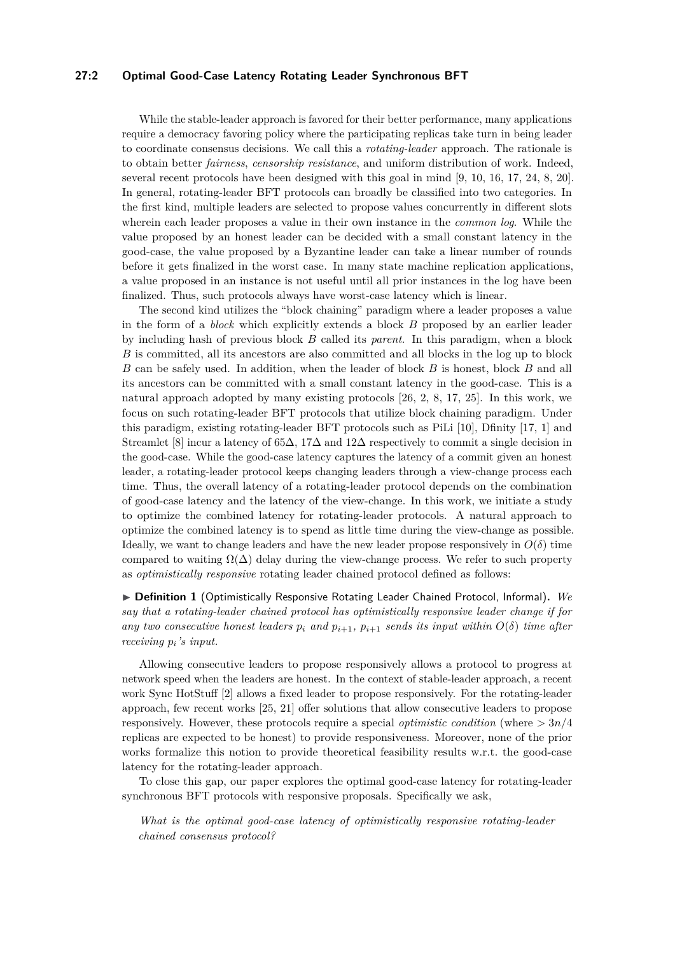# **27:2 Optimal Good-Case Latency Rotating Leader Synchronous BFT**

While the stable-leader approach is favored for their better performance, many applications require a democracy favoring policy where the participating replicas take turn in being leader to coordinate consensus decisions. We call this a *rotating-leader* approach. The rationale is to obtain better *fairness*, *censorship resistance*, and uniform distribution of work. Indeed, several recent protocols have been designed with this goal in mind [\[9,](#page-15-7) [10,](#page-15-8) [16,](#page-15-9) [17,](#page-15-10) [24,](#page-16-2) [8,](#page-15-11) [20\]](#page-15-12). In general, rotating-leader BFT protocols can broadly be classified into two categories. In the first kind, multiple leaders are selected to propose values concurrently in different slots wherein each leader proposes a value in their own instance in the *common log*. While the value proposed by an honest leader can be decided with a small constant latency in the good-case, the value proposed by a Byzantine leader can take a linear number of rounds before it gets finalized in the worst case. In many state machine replication applications, a value proposed in an instance is not useful until all prior instances in the log have been finalized. Thus, such protocols always have worst-case latency which is linear.

The second kind utilizes the "block chaining" paradigm where a leader proposes a value in the form of a *block* which explicitly extends a block *B* proposed by an earlier leader by including hash of previous block *B* called its *parent*. In this paradigm, when a block *B* is committed, all its ancestors are also committed and all blocks in the log up to block *B* can be safely used. In addition, when the leader of block *B* is honest, block *B* and all its ancestors can be committed with a small constant latency in the good-case. This is a natural approach adopted by many existing protocols [\[26,](#page-16-0) [2,](#page-15-0) [8,](#page-15-11) [17,](#page-15-10) [25\]](#page-16-3). In this work, we focus on such rotating-leader BFT protocols that utilize block chaining paradigm. Under this paradigm, existing rotating-leader BFT protocols such as PiLi [\[10\]](#page-15-8), Dfinity [\[17,](#page-15-10) [1\]](#page-15-13) and Streamlet [\[8\]](#page-15-11) incur a latency of  $65\Delta$ ,  $17\Delta$  and  $12\Delta$  respectively to commit a single decision in the good-case. While the good-case latency captures the latency of a commit given an honest leader, a rotating-leader protocol keeps changing leaders through a view-change process each time. Thus, the overall latency of a rotating-leader protocol depends on the combination of good-case latency and the latency of the view-change. In this work, we initiate a study to optimize the combined latency for rotating-leader protocols. A natural approach to optimize the combined latency is to spend as little time during the view-change as possible. Ideally, we want to change leaders and have the new leader propose responsively in  $O(\delta)$  time compared to waiting  $\Omega(\Delta)$  delay during the view-change process. We refer to such property as *optimistically responsive* rotating leader chained protocol defined as follows:

▶ **Definition 1** (Optimistically Responsive Rotating Leader Chained Protocol, Informal)**.** *We say that a rotating-leader chained protocol has optimistically responsive leader change if for any two consecutive honest leaders*  $p_i$  *and*  $p_{i+1}$ ,  $p_{i+1}$  *sends its input within*  $O(\delta)$  *time after receiving pi's input.*

Allowing consecutive leaders to propose responsively allows a protocol to progress at network speed when the leaders are honest. In the context of stable-leader approach, a recent work Sync HotStuff [\[2\]](#page-15-0) allows a fixed leader to propose responsively. For the rotating-leader approach, few recent works [\[25,](#page-16-3) [21\]](#page-16-4) offer solutions that allow consecutive leaders to propose responsively. However, these protocols require a special *optimistic condition* (where *>* 3*n/*4 replicas are expected to be honest) to provide responsiveness. Moreover, none of the prior works formalize this notion to provide theoretical feasibility results w.r.t. the good-case latency for the rotating-leader approach.

To close this gap, our paper explores the optimal good-case latency for rotating-leader synchronous BFT protocols with responsive proposals. Specifically we ask,

*What is the optimal good-case latency of optimistically responsive rotating-leader chained consensus protocol?*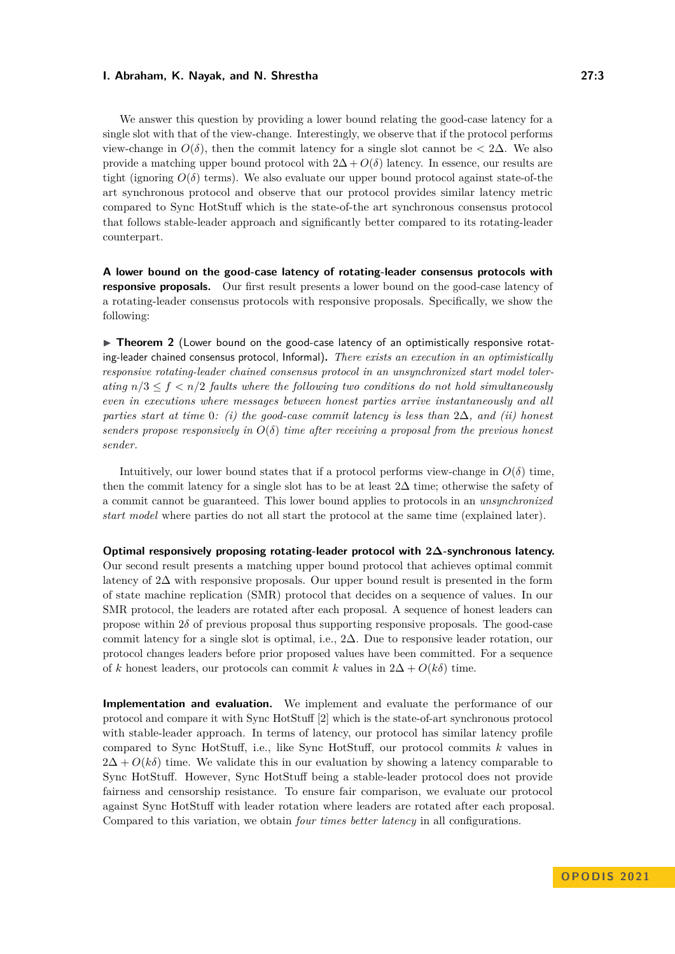We answer this question by providing a lower bound relating the good-case latency for a single slot with that of the view-change. Interestingly, we observe that if the protocol performs view-change in  $O(\delta)$ , then the commit latency for a single slot cannot be  $\langle 2\Delta \rangle$ . We also provide a matching upper bound protocol with  $2\Delta + O(\delta)$  latency. In essence, our results are tight (ignoring  $O(\delta)$  terms). We also evaluate our upper bound protocol against state-of-the art synchronous protocol and observe that our protocol provides similar latency metric compared to Sync HotStuff which is the state-of-the art synchronous consensus protocol that follows stable-leader approach and significantly better compared to its rotating-leader counterpart.

**A lower bound on the good-case latency of rotating-leader consensus protocols with responsive proposals.** Our first result presents a lower bound on the good-case latency of a rotating-leader consensus protocols with responsive proposals. Specifically, we show the following:

▶ **Theorem 2** (Lower bound on the good-case latency of an optimistically responsive rotating-leader chained consensus protocol, Informal)**.** *There exists an execution in an optimistically responsive rotating-leader chained consensus protocol in an unsynchronized start model tolerating*  $n/3 \le f \le n/2$  *faults where the following two conditions do not hold simultaneously even in executions where messages between honest parties arrive instantaneously and all parties start at time* 0*: (i) the good-case commit latency is less than* 2∆*, and (ii) honest senders propose responsively in*  $O(\delta)$  *time after receiving a proposal from the previous honest sender.*

Intuitively, our lower bound states that if a protocol performs view-change in  $O(\delta)$  time, then the commit latency for a single slot has to be at least  $2\Delta$  time; otherwise the safety of a commit cannot be guaranteed. This lower bound applies to protocols in an *unsynchronized start model* where parties do not all start the protocol at the same time (explained later).

# **Optimal responsively proposing rotating-leader protocol with 2∆-synchronous latency.**

Our second result presents a matching upper bound protocol that achieves optimal commit latency of 2∆ with responsive proposals. Our upper bound result is presented in the form of state machine replication (SMR) protocol that decides on a sequence of values. In our SMR protocol, the leaders are rotated after each proposal. A sequence of honest leaders can propose within 2*δ* of previous proposal thus supporting responsive proposals. The good-case commit latency for a single slot is optimal, i.e., 2∆. Due to responsive leader rotation, our protocol changes leaders before prior proposed values have been committed. For a sequence of *k* honest leaders, our protocols can commit *k* values in  $2\Delta + O(k\delta)$  time.

**Implementation and evaluation.** We implement and evaluate the performance of our protocol and compare it with Sync HotStuff [\[2\]](#page-15-0) which is the state-of-art synchronous protocol with stable-leader approach. In terms of latency, our protocol has similar latency profile compared to Sync HotStuff, i.e., like Sync HotStuff, our protocol commits *k* values in  $2\Delta + O(k\delta)$  time. We validate this in our evaluation by showing a latency comparable to Sync HotStuff. However, Sync HotStuff being a stable-leader protocol does not provide fairness and censorship resistance. To ensure fair comparison, we evaluate our protocol against Sync HotStuff with leader rotation where leaders are rotated after each proposal. Compared to this variation, we obtain *four times better latency* in all configurations.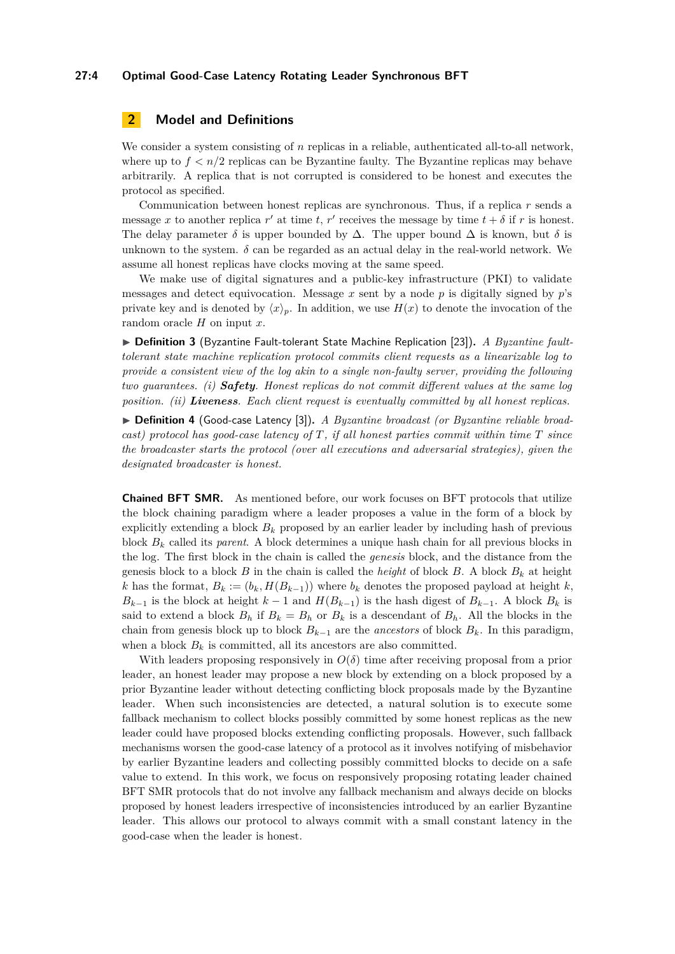# **27:4 Optimal Good-Case Latency Rotating Leader Synchronous BFT**

# **2 Model and Definitions**

We consider a system consisting of *n* replicas in a reliable, authenticated all-to-all network, where up to  $f < n/2$  replicas can be Byzantine faulty. The Byzantine replicas may behave arbitrarily. A replica that is not corrupted is considered to be honest and executes the protocol as specified.

Communication between honest replicas are synchronous. Thus, if a replica *r* sends a message *x* to another replica *r'* at time *t*, *r'* receives the message by time  $t + \delta$  if *r* is honest. The delay parameter  $\delta$  is upper bounded by  $\Delta$ . The upper bound  $\Delta$  is known, but  $\delta$  is unknown to the system.  $\delta$  can be regarded as an actual delay in the real-world network. We assume all honest replicas have clocks moving at the same speed.

We make use of digital signatures and a public-key infrastructure (PKI) to validate messages and detect equivocation. Message  $x$  sent by a node  $p$  is digitally signed by  $p$ 's private key and is denoted by  $\langle x \rangle_p$ . In addition, we use  $H(x)$  to denote the invocation of the random oracle *H* on input *x*.

▶ **Definition 3** (Byzantine Fault-tolerant State Machine Replication [\[23\]](#page-16-5)). *A Byzantine faulttolerant state machine replication protocol commits client requests as a linearizable log to provide a consistent view of the log akin to a single non-faulty server, providing the following two guarantees. (i) Safety. Honest replicas do not commit different values at the same log position. (ii) Liveness. Each client request is eventually committed by all honest replicas.*

▶ **Definition 4** (Good-case Latency [\[3\]](#page-15-6)). *A Byzantine broadcast (or Byzantine reliable broadcast) protocol has good-case latency of T, if all honest parties commit within time T since the broadcaster starts the protocol (over all executions and adversarial strategies), given the designated broadcaster is honest.*

**Chained BFT SMR.** As mentioned before, our work focuses on BFT protocols that utilize the block chaining paradigm where a leader proposes a value in the form of a block by explicitly extending a block  $B_k$  proposed by an earlier leader by including hash of previous block *B<sup>k</sup>* called its *parent*. A block determines a unique hash chain for all previous blocks in the log. The first block in the chain is called the *genesis* block, and the distance from the genesis block to a block *B* in the chain is called the *height* of block *B*. A block  $B_k$  at height *k* has the format,  $B_k := (b_k, H(B_{k-1}))$  where  $b_k$  denotes the proposed payload at height *k*,  $B_{k-1}$  is the block at height  $k-1$  and  $H(B_{k-1})$  is the hash digest of  $B_{k-1}$ . A block  $B_k$  is said to extend a block  $B_h$  if  $B_k = B_h$  or  $B_k$  is a descendant of  $B_h$ . All the blocks in the chain from genesis block up to block  $B_{k-1}$  are the *ancestors* of block  $B_k$ . In this paradigm, when a block  $B_k$  is committed, all its ancestors are also committed.

With leaders proposing responsively in  $O(\delta)$  time after receiving proposal from a prior leader, an honest leader may propose a new block by extending on a block proposed by a prior Byzantine leader without detecting conflicting block proposals made by the Byzantine leader. When such inconsistencies are detected, a natural solution is to execute some fallback mechanism to collect blocks possibly committed by some honest replicas as the new leader could have proposed blocks extending conflicting proposals. However, such fallback mechanisms worsen the good-case latency of a protocol as it involves notifying of misbehavior by earlier Byzantine leaders and collecting possibly committed blocks to decide on a safe value to extend. In this work, we focus on responsively proposing rotating leader chained BFT SMR protocols that do not involve any fallback mechanism and always decide on blocks proposed by honest leaders irrespective of inconsistencies introduced by an earlier Byzantine leader. This allows our protocol to always commit with a small constant latency in the good-case when the leader is honest.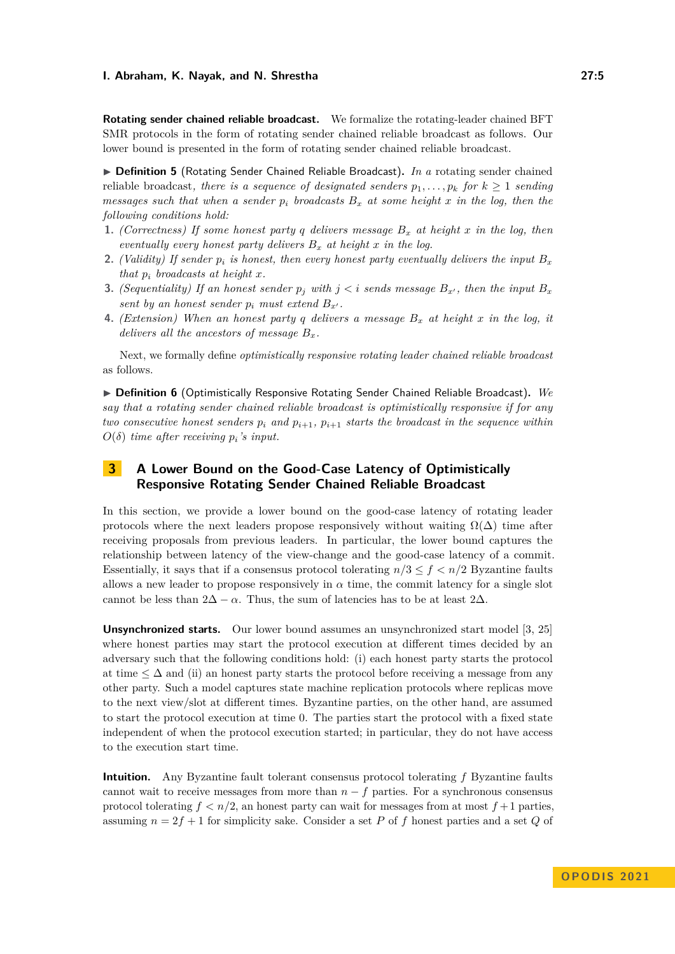**Rotating sender chained reliable broadcast.** We formalize the rotating-leader chained BFT SMR protocols in the form of rotating sender chained reliable broadcast as follows. Our lower bound is presented in the form of rotating sender chained reliable broadcast.

<span id="page-4-0"></span>▶ **Definition 5** (Rotating Sender Chained Reliable Broadcast). *In a* rotating sender chained reliable broadcast, there is a sequence of designated senders  $p_1, \ldots, p_k$  for  $k \geq 1$  sending *messages such that when a sender*  $p_i$  *broadcasts*  $B_x$  *at some height*  $x$  *in the log, then the following conditions hold:*

- **1.** *(Correctness) If some honest party q delivers message B<sup>x</sup> at height x in the log, then eventually every honest party delivers B<sup>x</sup> at height x in the log.*
- **2.** *(Validity) If sender*  $p_i$  *is honest, then every honest party eventually delivers the input*  $B_x$ *that*  $p_i$  *broadcasts at height x.*
- **3.** *(Sequentiality) If an honest sender*  $p_j$  *with*  $j < i$  *sends message*  $B_{x'}$ *, then the input*  $B_x$ *sent by an honest sender*  $p_i$  *must extend*  $B_{x'}$ *.*
- **4.** *(Extension) When an honest party q delivers a message B<sup>x</sup> at height x in the log, it delivers all the ancestors of message*  $B_x$ *.*

Next, we formally define *optimistically responsive rotating leader chained reliable broadcast* as follows.

▶ **Definition 6** (Optimistically Responsive Rotating Sender Chained Reliable Broadcast)**.** *We say that a rotating sender chained reliable broadcast is optimistically responsive if for any two consecutive honest senders*  $p_i$  *and*  $p_{i+1}$ *,*  $p_{i+1}$  *starts the broadcast in the sequence within*  $O(\delta)$  *time after receiving*  $p_i$ *'s input.* 

# **3 A Lower Bound on the Good-Case Latency of Optimistically Responsive Rotating Sender Chained Reliable Broadcast**

In this section, we provide a lower bound on the good-case latency of rotating leader protocols where the next leaders propose responsively without waiting  $\Omega(\Delta)$  time after receiving proposals from previous leaders. In particular, the lower bound captures the relationship between latency of the view-change and the good-case latency of a commit. Essentially, it says that if a consensus protocol tolerating  $n/3 \le f < n/2$  Byzantine faults allows a new leader to propose responsively in  $\alpha$  time, the commit latency for a single slot cannot be less than  $2\Delta - \alpha$ . Thus, the sum of latencies has to be at least  $2\Delta$ .

**Unsynchronized starts.** Our lower bound assumes an unsynchronized start model [\[3,](#page-15-6) [25\]](#page-16-3) where honest parties may start the protocol execution at different times decided by an adversary such that the following conditions hold: (i) each honest party starts the protocol at time  $\leq \Delta$  and (ii) an honest party starts the protocol before receiving a message from any other party. Such a model captures state machine replication protocols where replicas move to the next view/slot at different times. Byzantine parties, on the other hand, are assumed to start the protocol execution at time 0. The parties start the protocol with a fixed state independent of when the protocol execution started; in particular, they do not have access to the execution start time.

**Intuition.** Any Byzantine fault tolerant consensus protocol tolerating *f* Byzantine faults cannot wait to receive messages from more than  $n - f$  parties. For a synchronous consensus protocol tolerating  $f < n/2$ , an honest party can wait for messages from at most  $f+1$  parties, assuming  $n = 2f + 1$  for simplicity sake. Consider a set P of f honest parties and a set Q of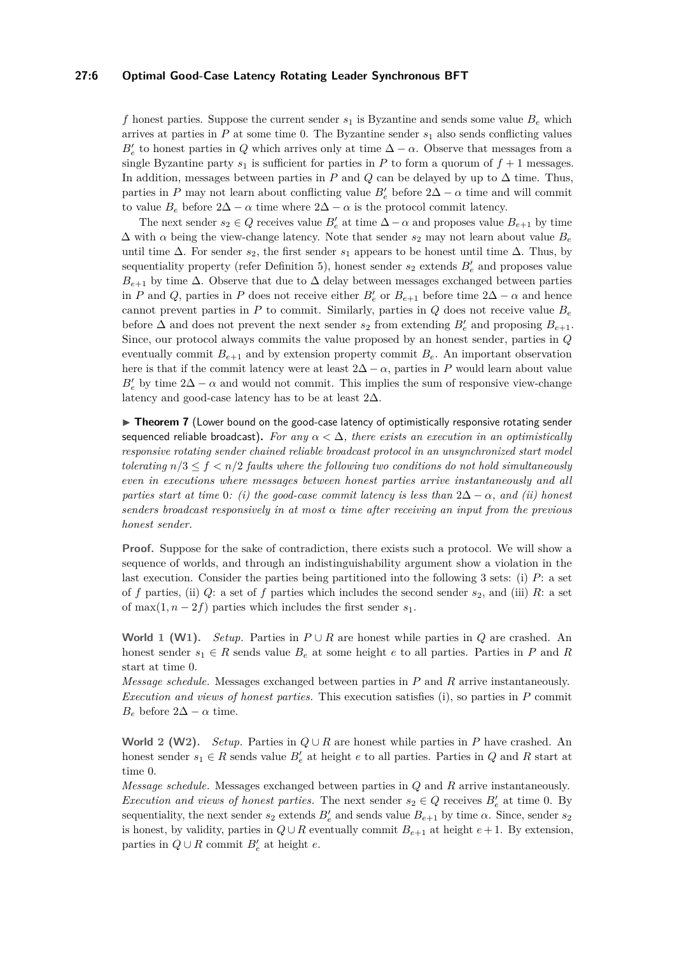## **27:6 Optimal Good-Case Latency Rotating Leader Synchronous BFT**

f honest parties. Suppose the current sender  $s_1$  is Byzantine and sends some value  $B_e$  which arrives at parties in  $P$  at some time 0. The Byzantine sender  $s_1$  also sends conflicting values  $B'_{e}$  to honest parties in *Q* which arrives only at time  $\Delta - \alpha$ . Observe that messages from a single Byzantine party  $s_1$  is sufficient for parties in  $P$  to form a quorum of  $f + 1$  messages. In addition, messages between parties in  $P$  and  $Q$  can be delayed by up to  $\Delta$  time. Thus, parties in *P* may not learn about conflicting value  $B'_{e}$  before  $2\Delta - \alpha$  time and will commit to value  $B_e$  before  $2\Delta - \alpha$  time where  $2\Delta - \alpha$  is the protocol commit latency.

The next sender  $s_2 \in Q$  receives value  $B'_e$  at time  $\Delta - \alpha$  and proposes value  $B_{e+1}$  by time  $\Delta$  with  $\alpha$  being the view-change latency. Note that sender  $s_2$  may not learn about value  $B_e$ until time  $\Delta$ . For sender  $s_2$ , the first sender  $s_1$  appears to be honest until time  $\Delta$ . Thus, by sequentiality property (refer Definition [5\)](#page-4-0), honest sender  $s_2$  extends  $B'_e$  and proposes value  $B_{e+1}$  by time  $\Delta$ . Observe that due to  $\Delta$  delay between messages exchanged between parties in *P* and *Q*, parties in *P* does not receive either  $B'_{e}$  or  $B_{e+1}$  before time 2∆ –  $\alpha$  and hence cannot prevent parties in  $P$  to commit. Similarly, parties in  $Q$  does not receive value  $B_e$ before  $\Delta$  and does not prevent the next sender  $s_2$  from extending  $B'_e$  and proposing  $B_{e+1}$ . Since, our protocol always commits the value proposed by an honest sender, parties in *Q* eventually commit  $B_{e+1}$  and by extension property commit  $B_e$ . An important observation here is that if the commit latency were at least  $2\Delta - \alpha$ , parties in *P* would learn about value  $B'_{e}$  by time 2∆ − *α* and would not commit. This implies the sum of responsive view-change latency and good-case latency has to be at least  $2\Delta$ .

▶ **Theorem 7** (Lower bound on the good-case latency of optimistically responsive rotating sender sequenced reliable broadcast). *For any*  $\alpha < \Delta$ , *there exists an execution in an optimistically responsive rotating sender chained reliable broadcast protocol in an unsynchronized start model tolerating*  $n/3 \le f \le n/2$  *faults where the following two conditions do not hold simultaneously even in executions where messages between honest parties arrive instantaneously and all parties start at time* 0*: (i) the good-case commit latency is less than*  $2\Delta - \alpha$ *, and (ii) honest senders broadcast responsively in at most α time after receiving an input from the previous honest sender.*

**Proof.** Suppose for the sake of contradiction, there exists such a protocol. We will show a sequence of worlds, and through an indistinguishability argument show a violation in the last execution. Consider the parties being partitioned into the following 3 sets: (i) *P*: a set of *f* parties, (ii)  $Q$ : a set of *f* parties which includes the second sender  $s_2$ , and (iii)  $R$ : a set of max $(1, n-2f)$  parties which includes the first sender  $s_1$ .

**World 1 (W1**). *Setup.* Parties in  $P \cup R$  are honest while parties in *Q* are crashed. An honest sender  $s_1 \in R$  sends value  $B_e$  at some height *e* to all parties. Parties in *P* and *R* start at time 0.

*Message schedule.* Messages exchanged between parties in *P* and *R* arrive instantaneously. *Execution and views of honest parties.* This execution satisfies (i), so parties in *P* commit *B*<sup>*e*</sup> before  $2\Delta - \alpha$  time.

**World 2 (W2).** *Setup.* Parties in  $Q \cup R$  are honest while parties in *P* have crashed. An honest sender  $s_1 \in R$  sends value  $B'_e$  at height  $e$  to all parties. Parties in  $Q$  and  $R$  start at time 0.

*Message schedule.* Messages exchanged between parties in *Q* and *R* arrive instantaneously. *Execution and views of honest parties.* The next sender  $s_2 \in Q$  receives  $B'_e$  at time 0. By sequentiality, the next sender  $s_2$  extends  $B'_e$  and sends value  $B_{e+1}$  by time  $\alpha$ . Since, sender  $s_2$ is honest, by validity, parties in  $Q \cup R$  eventually commit  $B_{e+1}$  at height  $e + 1$ . By extension, parties in  $Q \cup R$  commit  $B'_e$  at height  $e$ .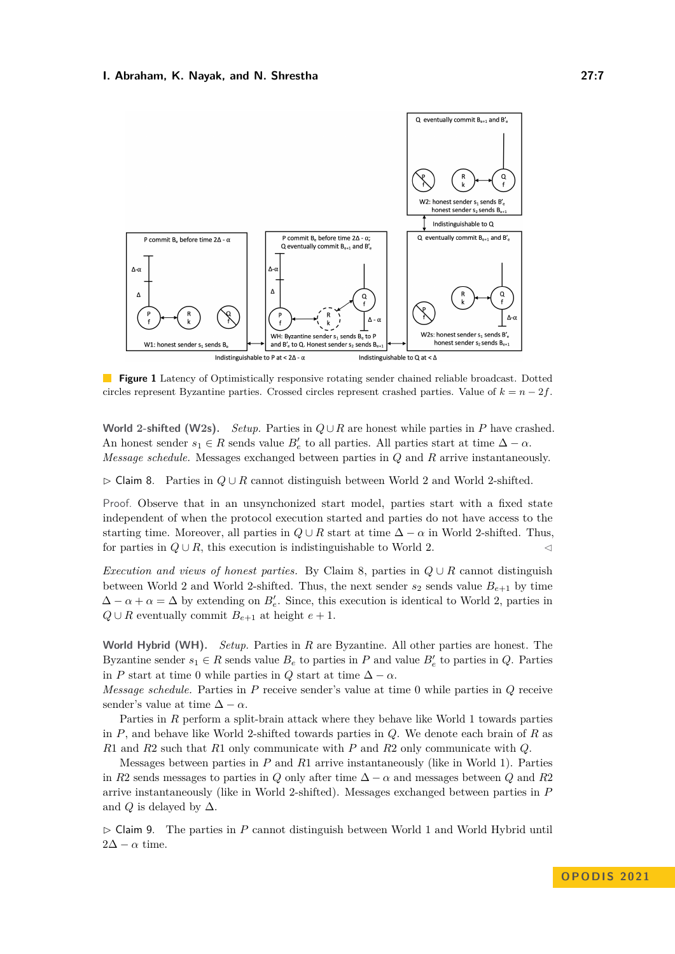

**Figure 1** Latency of Optimistically responsive rotating sender chained reliable broadcast. Dotted circles represent Byzantine parties. Crossed circles represent crashed parties. Value of  $k = n - 2f$ .

**World** 2-shifted (W2s). *Setup.* Parties in  $Q \cup R$  are honest while parties in *P* have crashed. An honest sender  $s_1 \in R$  sends value  $B'_e$  to all parties. All parties start at time  $\Delta - \alpha$ . *Message schedule.* Messages exchanged between parties in *Q* and *R* arrive instantaneously.

<span id="page-6-0"></span>▷ Claim 8. Parties in *Q* ∪ *R* cannot distinguish between World 2 and World 2-shifted.

Proof. Observe that in an unsynchonized start model, parties start with a fixed state independent of when the protocol execution started and parties do not have access to the starting time. Moreover, all parties in  $Q \cup R$  start at time  $\Delta - \alpha$  in World 2-shifted. Thus, for parties in  $Q \cup R$ , this execution is indistinguishable to World 2.

*Execution and views of honest parties.* By Claim [8,](#page-6-0) parties in *Q* ∪ *R* cannot distinguish between World 2 and World 2-shifted. Thus, the next sender  $s_2$  sends value  $B_{e+1}$  by time  $\Delta - \alpha + \alpha = \Delta$  by extending on  $B'_{e}$ . Since, this execution is identical to World 2, parties in *Q* ∪ *R* eventually commit *B*<sub>*e*+1</sub> at height *e* + 1.

**World Hybrid (WH).** *Setup.* Parties in *R* are Byzantine. All other parties are honest. The Byzantine sender  $s_1 \in R$  sends value  $B_e$  to parties in  $P$  and value  $B'_e$  to parties in  $Q$ . Parties in *P* start at time 0 while parties in *Q* start at time  $\Delta - \alpha$ .

*Message schedule.* Parties in *P* receive sender's value at time 0 while parties in *Q* receive sender's value at time  $\Delta - \alpha$ .

Parties in *R* perform a split-brain attack where they behave like World 1 towards parties in *P*, and behave like World 2-shifted towards parties in *Q*. We denote each brain of *R* as *R*1 and *R*2 such that *R*1 only communicate with *P* and *R*2 only communicate with *Q*.

Messages between parties in *P* and *R*1 arrive instantaneously (like in World 1). Parties in *R*2 sends messages to parties in *Q* only after time  $\Delta - \alpha$  and messages between *Q* and *R*2 arrive instantaneously (like in World 2-shifted). Messages exchanged between parties in *P* and *Q* is delayed by  $\Delta$ .

<span id="page-6-1"></span>▷ Claim 9. The parties in *P* cannot distinguish between World 1 and World Hybrid until  $2\Delta - \alpha$  time.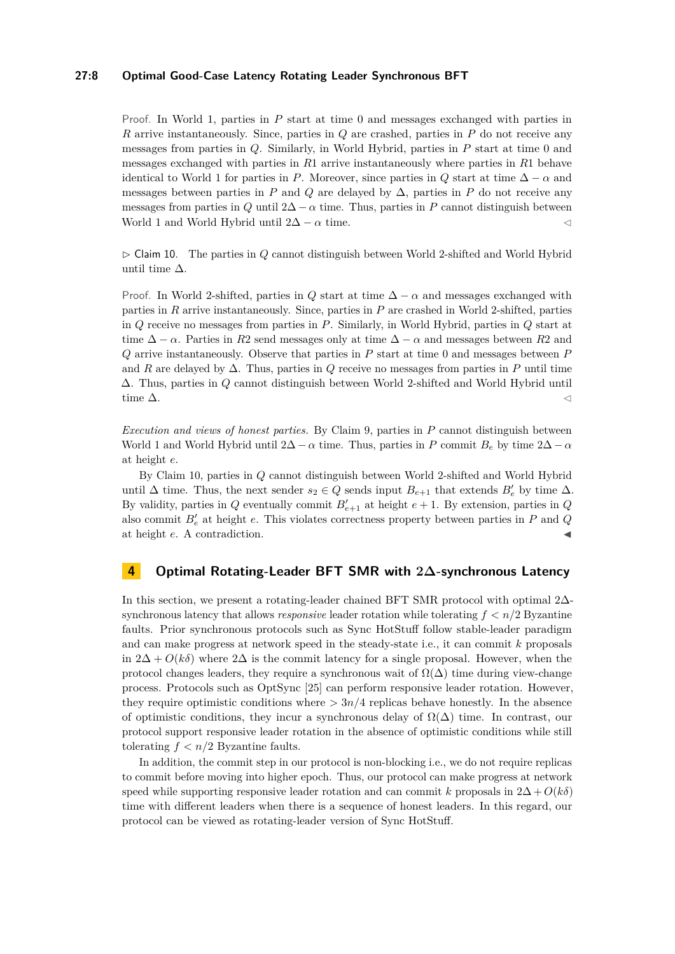# **27:8 Optimal Good-Case Latency Rotating Leader Synchronous BFT**

Proof. In World 1, parties in *P* start at time 0 and messages exchanged with parties in *R* arrive instantaneously. Since, parties in *Q* are crashed, parties in *P* do not receive any messages from parties in *Q*. Similarly, in World Hybrid, parties in *P* start at time 0 and messages exchanged with parties in *R*1 arrive instantaneously where parties in *R*1 behave identical to World 1 for parties in *P*. Moreover, since parties in *Q* start at time  $\Delta - \alpha$  and messages between parties in *P* and *Q* are delayed by  $\Delta$ , parties in *P* do not receive any messages from parties in *Q* until  $2\Delta - \alpha$  time. Thus, parties in *P* cannot distinguish between World 1 and World Hybrid until  $2\Delta - \alpha$  time.  $\triangleleft$ 

<span id="page-7-0"></span>▷ Claim 10. The parties in *Q* cannot distinguish between World 2-shifted and World Hybrid until time  $\Delta$ .

Proof. In World 2-shifted, parties in *Q* start at time  $\Delta - \alpha$  and messages exchanged with parties in *R* arrive instantaneously. Since, parties in *P* are crashed in World 2-shifted, parties in *Q* receive no messages from parties in *P*. Similarly, in World Hybrid, parties in *Q* start at time  $\Delta - \alpha$ . Parties in *R*2 send messages only at time  $\Delta - \alpha$  and messages between *R*2 and *Q* arrive instantaneously. Observe that parties in *P* start at time 0 and messages between *P* and *R* are delayed by ∆. Thus, parties in *Q* receive no messages from parties in *P* until time ∆. Thus, parties in *Q* cannot distinguish between World 2-shifted and World Hybrid until time  $\Delta$ .

*Execution and views of honest parties.* By Claim [9,](#page-6-1) parties in *P* cannot distinguish between World 1 and World Hybrid until  $2\Delta - \alpha$  time. Thus, parties in P commit  $B_e$  by time  $2\Delta - \alpha$ at height *e*.

By Claim [10,](#page-7-0) parties in *Q* cannot distinguish between World 2-shifted and World Hybrid until  $\Delta$  time. Thus, the next sender  $s_2 \in Q$  sends input  $B_{e+1}$  that extends  $B'_e$  by time  $\Delta$ . By validity, parties in  $Q$  eventually commit  $B'_{e+1}$  at height  $e+1$ . By extension, parties in  $Q$ also commit *B*′ *<sup>e</sup>* at height *e*. This violates correctness property between parties in *P* and *Q* at height *e*. A contradiction.

# **4 Optimal Rotating-Leader BFT SMR with 2∆-synchronous Latency**

In this section, we present a rotating-leader chained BFT SMR protocol with optimal 2∆ synchronous latency that allows *responsive* leader rotation while tolerating *f < n/*2 Byzantine faults. Prior synchronous protocols such as Sync HotStuff follow stable-leader paradigm and can make progress at network speed in the steady-state i.e., it can commit *k* proposals in  $2\Delta + O(k\delta)$  where  $2\Delta$  is the commit latency for a single proposal. However, when the protocol changes leaders, they require a synchronous wait of  $\Omega(\Delta)$  time during view-change process. Protocols such as OptSync [\[25\]](#page-16-3) can perform responsive leader rotation. However, they require optimistic conditions where  $> 3n/4$  replicas behave honestly. In the absence of optimistic conditions, they incur a synchronous delay of  $\Omega(\Delta)$  time. In contrast, our protocol support responsive leader rotation in the absence of optimistic conditions while still tolerating  $f < n/2$  Byzantine faults.

In addition, the commit step in our protocol is non-blocking i.e., we do not require replicas to commit before moving into higher epoch. Thus, our protocol can make progress at network speed while supporting responsive leader rotation and can commit *k* proposals in  $2\Delta + O(k\delta)$ time with different leaders when there is a sequence of honest leaders. In this regard, our protocol can be viewed as rotating-leader version of Sync HotStuff.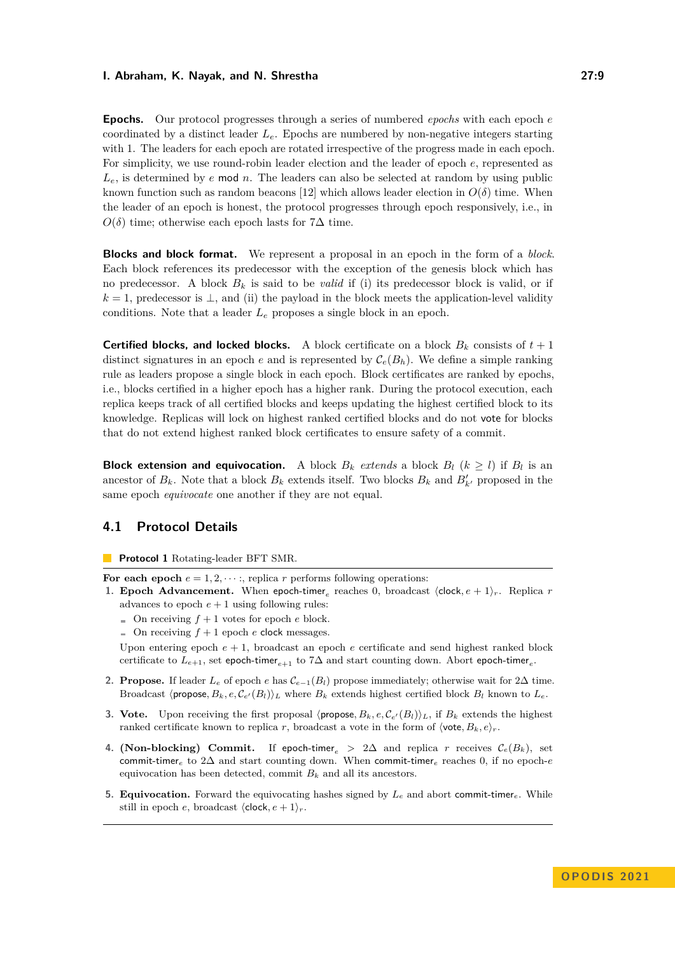**Epochs.** Our protocol progresses through a series of numbered *epochs* with each epoch *e* coordinated by a distinct leader *Le*. Epochs are numbered by non-negative integers starting with 1. The leaders for each epoch are rotated irrespective of the progress made in each epoch. For simplicity, we use round-robin leader election and the leader of epoch *e*, represented as  $L_e$ , is determined by  $e$  mod  $n$ . The leaders can also be selected at random by using public known function such as random beacons [\[12\]](#page-15-14) which allows leader election in  $O(\delta)$  time. When the leader of an epoch is honest, the protocol progresses through epoch responsively, i.e., in  $O(\delta)$  time; otherwise each epoch lasts for 7∆ time.

**Blocks and block format.** We represent a proposal in an epoch in the form of a *block*. Each block references its predecessor with the exception of the genesis block which has no predecessor. A block  $B_k$  is said to be *valid* if (i) its predecessor block is valid, or if  $k = 1$ , predecessor is  $\perp$ , and (ii) the payload in the block meets the application-level validity conditions. Note that a leader *L<sup>e</sup>* proposes a single block in an epoch.

**Certified blocks, and locked blocks.** A block certificate on a block  $B_k$  consists of  $t + 1$ distinct signatures in an epoch *e* and is represented by  $\mathcal{C}_e(B_h)$ . We define a simple ranking rule as leaders propose a single block in each epoch. Block certificates are ranked by epochs, i.e., blocks certified in a higher epoch has a higher rank. During the protocol execution, each replica keeps track of all certified blocks and keeps updating the highest certified block to its knowledge. Replicas will lock on highest ranked certified blocks and do not vote for blocks that do not extend highest ranked block certificates to ensure safety of a commit.

**Block extension and equivocation.** A block  $B_k$  *extends* a block  $B_l$  ( $k \geq l$ ) if  $B_l$  is an ancestor of  $B_k$ . Note that a block  $B_k$  extends itself. Two blocks  $B_k$  and  $B'_{k'}$  proposed in the same epoch *equivocate* one another if they are not equal.

# **4.1 Protocol Details**

<span id="page-8-0"></span>**Protocol 1** Rotating-leader BFT SMR.

For each epoch  $e = 1, 2, \dots$ ; replica *r* performs following operations:

- **1. Epoch Advancement.** When epoch-timer<sub>e</sub> reaches 0, broadcast  $\langle \text{clock}, e+1 \rangle_r$ . Replica *r* advances to epoch  $e + 1$  using following rules:
	- $\blacksquare$  On receiving  $f + 1$  votes for epoch *e* block.
	- $\Box$  On receiving  $f + 1$  epoch *e* clock messages.

Upon entering epoch  $e + 1$ , broadcast an epoch  $e$  certificate and send highest ranked block certificate to  $L_{e+1}$ , set epoch-timer<sub>e+1</sub> to 7 $\Delta$  and start counting down. Abort epoch-timer<sub>e</sub>.

- **2. Propose.** If leader  $L_e$  of epoch  $e$  has  $C_{e-1}(B_l)$  propose immediately; otherwise wait for  $2\Delta$  time. Broadcast  $\langle$  propose,  $B_k$ ,  $e, C_{e'}(B_l)\rangle_L$  where  $B_k$  extends highest certified block  $B_l$  known to  $L_e$ .
- <span id="page-8-1"></span>**3. Vote.** Upon receiving the first proposal  $\langle \text{propose}, B_k, e, \mathcal{C}_{e'}(B_l) \rangle_L$ , if  $B_k$  extends the highest ranked certificate known to replica *r*, broadcast a vote in the form of  $\langle \text{vote}, B_k, e \rangle_r$ .
- **4. (Non-blocking) Commit.** If epoch-timer<sub>e</sub> > 2 $\Delta$  and replica *r* receives  $\mathcal{C}_e(B_k)$ , set commit-timer*<sup>e</sup>* to 2∆ and start counting down. When commit-timer*<sup>e</sup>* reaches 0, if no epoch-*e* equivocation has been detected, commit  $B_k$  and all its ancestors.
- **5. Equivocation.** Forward the equivocating hashes signed by  $L_e$  and abort commit-timer<sub>e</sub>. While still in epoch *e*, broadcast  $\langle \text{clock}, e+1 \rangle_r$ .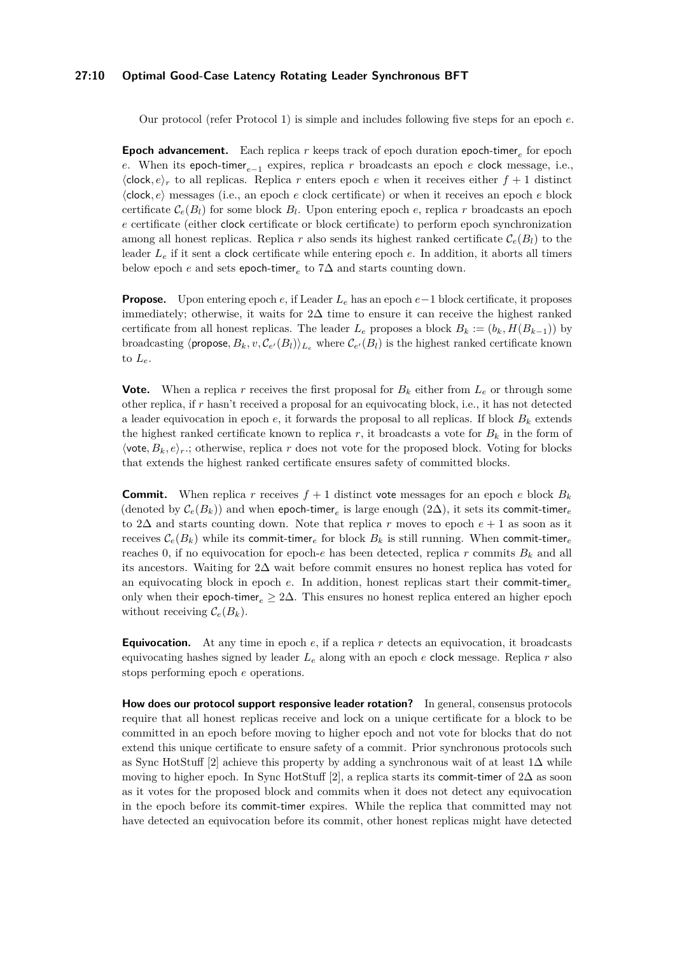#### **27:10 Optimal Good-Case Latency Rotating Leader Synchronous BFT**

Our protocol (refer Protocol [1\)](#page-8-0) is simple and includes following five steps for an epoch *e*.

**Epoch advancement.** Each replica *r* keeps track of epoch duration epoch-timer*<sup>e</sup>* for epoch *e*. When its epoch-timer<sub>*e*−1</sub> expires, replica *r* broadcasts an epoch *e* clock message, i.e.,  $\langle \text{clock}, e \rangle_r$  to all replicas. Replica *r* enters epoch *e* when it receives either  $f + 1$  distinct ⟨clock*, e*⟩ messages (i.e., an epoch *e* clock certificate) or when it receives an epoch *e* block certificate  $\mathcal{C}_e(B_l)$  for some block  $B_l$ . Upon entering epoch  $e$ , replica  $r$  broadcasts an epoch *e* certificate (either clock certificate or block certificate) to perform epoch synchronization among all honest replicas. Replica r also sends its highest ranked certificate  $\mathcal{C}_e(B_l)$  to the leader *L<sup>e</sup>* if it sent a clock certificate while entering epoch *e*. In addition, it aborts all timers below epoch *e* and sets epoch-timer*<sup>e</sup>* to 7∆ and starts counting down.

**Propose.** Upon entering epoch *e*, if Leader *L<sup>e</sup>* has an epoch *e*−1 block certificate, it proposes immediately; otherwise, it waits for  $2\Delta$  time to ensure it can receive the highest ranked certificate from all honest replicas. The leader  $L_e$  proposes a block  $B_k := (b_k, H(B_{k-1}))$  by broadcasting  $\langle$  propose,  $B_k$ ,  $v$ ,  $\mathcal{C}_{e'}(B_l)$ ) $_L$ <sub>*e*</sub> where  $\mathcal{C}_{e'}(B_l)$  is the highest ranked certificate known to  $L_e$ .

**Vote.** When a replica r receives the first proposal for  $B_k$  either from  $L_e$  or through some other replica, if *r* hasn't received a proposal for an equivocating block, i.e., it has not detected a leader equivocation in epoch  $e$ , it forwards the proposal to all replicas. If block  $B_k$  extends the highest ranked certificate known to replica  $r$ , it broadcasts a vote for  $B_k$  in the form of  $\langle \text{vote}, B_k, e \rangle_r$ ; otherwise, replica *r* does not vote for the proposed block. Voting for blocks that extends the highest ranked certificate ensures safety of committed blocks.

**Commit.** When replica *r* receives  $f + 1$  distinct vote messages for an epoch *e* block  $B_k$ (denoted by  $\mathcal{C}_e(B_k)$ ) and when epoch-timer<sub>e</sub> is large enough (2 $\Delta$ ), it sets its commit-timer<sub>e</sub> to 2∆ and starts counting down. Note that replica *r* moves to epoch *e* + 1 as soon as it receives  $\mathcal{C}_e(B_k)$  while its commit-timer<sub>e</sub> for block  $B_k$  is still running. When commit-timer<sub>e</sub> reaches 0, if no equivocation for epoch- $e$  has been detected, replica  $r$  commits  $B_k$  and all its ancestors. Waiting for 2∆ wait before commit ensures no honest replica has voted for an equivocating block in epoch *e*. In addition, honest replicas start their commit-timer*<sup>e</sup>* only when their epoch-timer*<sup>e</sup>* ≥ 2∆. This ensures no honest replica entered an higher epoch without receiving  $\mathcal{C}_e(B_k)$ .

**Equivocation.** At any time in epoch *e*, if a replica *r* detects an equivocation, it broadcasts equivocating hashes signed by leader *L<sup>e</sup>* along with an epoch *e* clock message. Replica *r* also stops performing epoch *e* operations.

**How does our protocol support responsive leader rotation?** In general, consensus protocols require that all honest replicas receive and lock on a unique certificate for a block to be committed in an epoch before moving to higher epoch and not vote for blocks that do not extend this unique certificate to ensure safety of a commit. Prior synchronous protocols such as Sync HotStuff [\[2\]](#page-15-0) achieve this property by adding a synchronous wait of at least 1∆ while moving to higher epoch. In Sync HotStuff [\[2\]](#page-15-0), a replica starts its commit-timer of  $2\Delta$  as soon as it votes for the proposed block and commits when it does not detect any equivocation in the epoch before its commit-timer expires. While the replica that committed may not have detected an equivocation before its commit, other honest replicas might have detected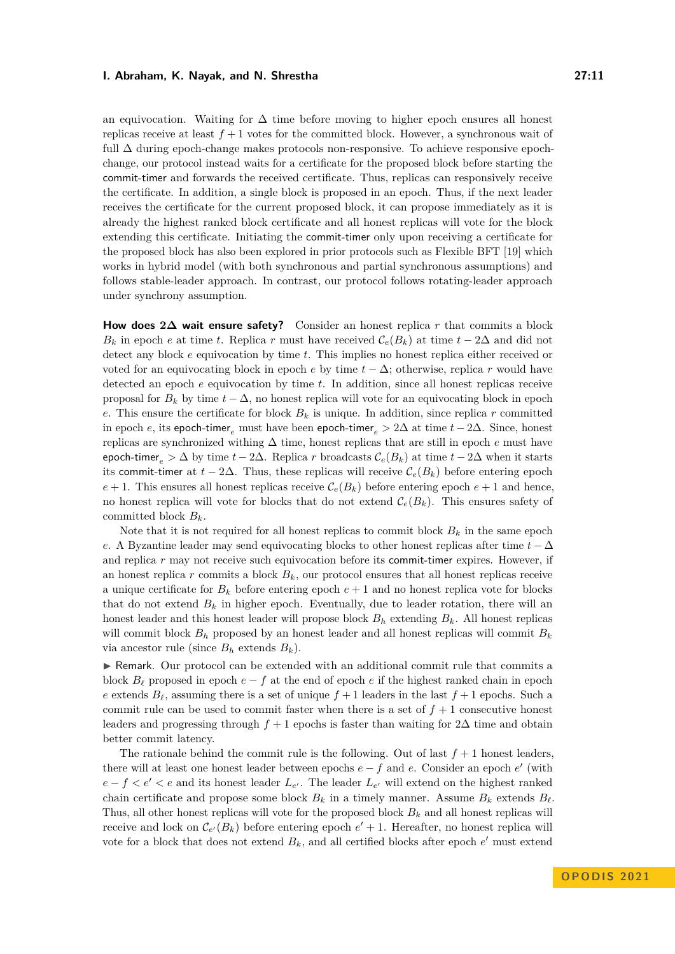an equivocation. Waiting for  $\Delta$  time before moving to higher epoch ensures all honest replicas receive at least  $f + 1$  votes for the committed block. However, a synchronous wait of full ∆ during epoch-change makes protocols non-responsive. To achieve responsive epochchange, our protocol instead waits for a certificate for the proposed block before starting the commit-timer and forwards the received certificate. Thus, replicas can responsively receive the certificate. In addition, a single block is proposed in an epoch. Thus, if the next leader receives the certificate for the current proposed block, it can propose immediately as it is already the highest ranked block certificate and all honest replicas will vote for the block extending this certificate. Initiating the commit-timer only upon receiving a certificate for the proposed block has also been explored in prior protocols such as Flexible BFT [\[19\]](#page-15-15) which works in hybrid model (with both synchronous and partial synchronous assumptions) and follows stable-leader approach. In contrast, our protocol follows rotating-leader approach under synchrony assumption.

**How does 2∆ wait ensure safety?** Consider an honest replica *r* that commits a block  $B_k$  in epoch *e* at time *t*. Replica *r* must have received  $\mathcal{C}_e(B_k)$  at time  $t - 2\Delta$  and did not detect any block *e* equivocation by time *t*. This implies no honest replica either received or voted for an equivocating block in epoch *e* by time  $t - \Delta$ ; otherwise, replica *r* would have detected an epoch *e* equivocation by time *t*. In addition, since all honest replicas receive proposal for  $B_k$  by time  $t - \Delta$ , no honest replica will vote for an equivocating block in epoch *e*. This ensure the certificate for block  $B_k$  is unique. In addition, since replica *r* committed in epoch *e*, its epoch-timer<sub>e</sub> must have been epoch-timer<sub>e</sub>  $> 2\Delta$  at time  $t - 2\Delta$ . Since, honest replicas are synchronized withing ∆ time, honest replicas that are still in epoch *e* must have epoch-timer<sub>e</sub> >  $\Delta$  by time  $t - 2\Delta$ . Replica *r* broadcasts  $\mathcal{C}_e(B_k)$  at time  $t - 2\Delta$  when it starts its commit-timer at  $t - 2\Delta$ . Thus, these replicas will receive  $\mathcal{C}_e(B_k)$  before entering epoch  $e + 1$ . This ensures all honest replicas receive  $\mathcal{C}_e(B_k)$  before entering epoch  $e + 1$  and hence, no honest replica will vote for blocks that do not extend  $\mathcal{C}_e(B_k)$ . This ensures safety of committed block *Bk*.

Note that it is not required for all honest replicas to commit block  $B_k$  in the same epoch *e*. A Byzantine leader may send equivocating blocks to other honest replicas after time *t* − ∆ and replica *r* may not receive such equivocation before its commit-timer expires. However, if an honest replica  $r$  commits a block  $B_k$ , our protocol ensures that all honest replicas receive a unique certificate for  $B_k$  before entering epoch  $e + 1$  and no honest replica vote for blocks that do not extend  $B_k$  in higher epoch. Eventually, due to leader rotation, there will an honest leader and this honest leader will propose block *B<sup>h</sup>* extending *Bk*. All honest replicas will commit block  $B_h$  proposed by an honest leader and all honest replicas will commit  $B_k$ via ancestor rule (since  $B_h$  extends  $B_k$ ).

▶ Remark. Our protocol can be extended with an additional commit rule that commits a block  $B_\ell$  proposed in epoch  $e - f$  at the end of epoch  $e$  if the highest ranked chain in epoch *e* extends  $B_{\ell}$ , assuming there is a set of unique  $f + 1$  leaders in the last  $f + 1$  epochs. Such a commit rule can be used to commit faster when there is a set of  $f + 1$  consecutive honest leaders and progressing through  $f + 1$  epochs is faster than waiting for  $2\Delta$  time and obtain better commit latency.

The rationale behind the commit rule is the following. Out of last  $f + 1$  honest leaders, there will at least one honest leader between epochs  $e - f$  and  $e$ . Consider an epoch  $e'$  (with  $e - f < e' < e$  and its honest leader  $L_{e'}$ . The leader  $L_{e'}$  will extend on the highest ranked chain certificate and propose some block  $B_k$  in a timely manner. Assume  $B_k$  extends  $B_\ell$ . Thus, all other honest replicas will vote for the proposed block *B<sup>k</sup>* and all honest replicas will receive and lock on  $\mathcal{C}_{e'}(B_k)$  before entering epoch  $e' + 1$ . Hereafter, no honest replica will vote for a block that does not extend  $B_k$ , and all certified blocks after epoch  $e'$  must extend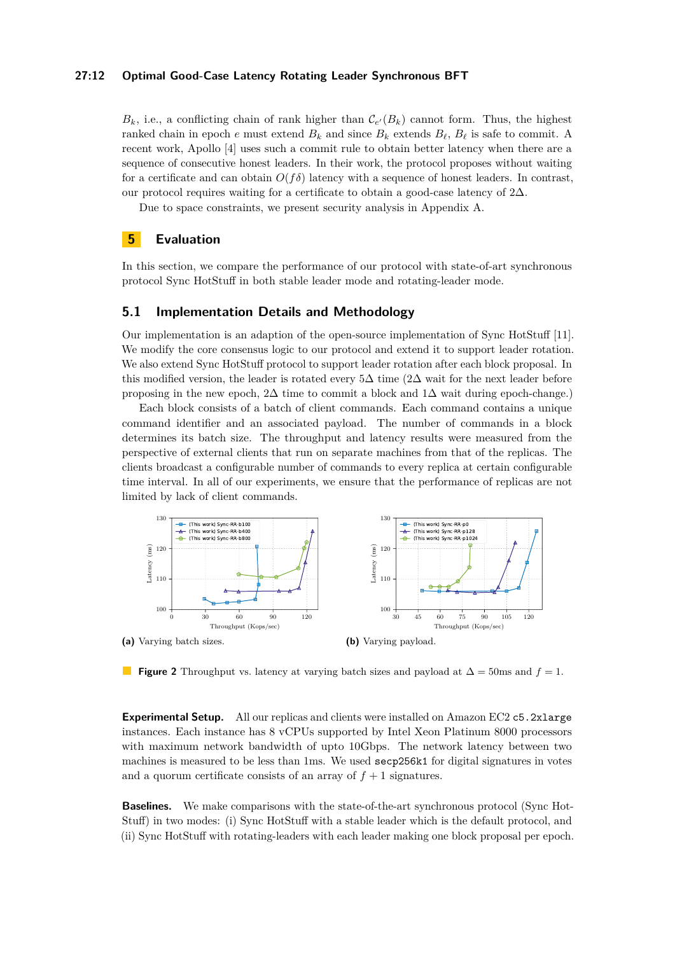#### **27:12 Optimal Good-Case Latency Rotating Leader Synchronous BFT**

 $B_k$ , i.e., a conflicting chain of rank higher than  $\mathcal{C}_{e'}(B_k)$  cannot form. Thus, the highest ranked chain in epoch  $e$  must extend  $B_k$  and since  $B_k$  extends  $B_\ell$ ,  $B_\ell$  is safe to commit. A recent work, Apollo [\[4\]](#page-15-16) uses such a commit rule to obtain better latency when there are a sequence of consecutive honest leaders. In their work, the protocol proposes without waiting for a certificate and can obtain  $O(f\delta)$  latency with a sequence of honest leaders. In contrast, our protocol requires waiting for a certificate to obtain a good-case latency of  $2\Delta$ .

Due to space constraints, we present security analysis in Appendix [A.](#page-16-6)

# **5 Evaluation**

In this section, we compare the performance of our protocol with state-of-art synchronous protocol Sync HotStuff in both stable leader mode and rotating-leader mode.

# **5.1 Implementation Details and Methodology**

Our implementation is an adaption of the open-source implementation of Sync HotStuff [\[11\]](#page-15-17). We modify the core consensus logic to our protocol and extend it to support leader rotation. We also extend Sync HotStuff protocol to support leader rotation after each block proposal. In this modified version, the leader is rotated every  $5\Delta$  time (2 $\Delta$  wait for the next leader before proposing in the new epoch,  $2\Delta$  time to commit a block and  $1\Delta$  wait during epoch-change.)

Each block consists of a batch of client commands. Each command contains a unique command identifier and an associated payload. The number of commands in a block determines its batch size. The throughput and latency results were measured from the perspective of external clients that run on separate machines from that of the replicas. The clients broadcast a configurable number of commands to every replica at certain configurable time interval. In all of our experiments, we ensure that the performance of replicas are not limited by lack of client commands.

<span id="page-11-0"></span>

**Figure 2** Throughput vs. latency at varying batch sizes and payload at ∆ = 50ms and *f* = 1.

**Experimental Setup.** All our replicas and clients were installed on Amazon EC2 c5.2xlarge instances. Each instance has 8 vCPUs supported by Intel Xeon Platinum 8000 processors with maximum network bandwidth of upto 10Gbps. The network latency between two machines is measured to be less than 1ms. We used secp256k1 for digital signatures in votes and a quorum certificate consists of an array of  $f + 1$  signatures.

**Baselines.** We make comparisons with the state-of-the-art synchronous protocol (Sync Hot-Stuff) in two modes: (i) Sync HotStuff with a stable leader which is the default protocol, and (ii) Sync HotStuff with rotating-leaders with each leader making one block proposal per epoch.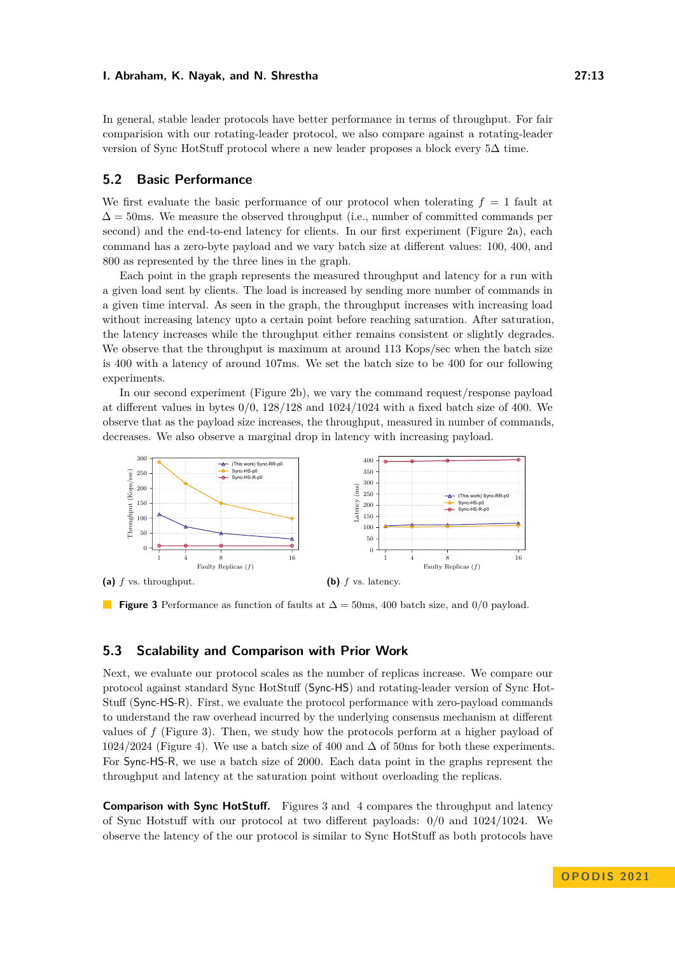In general, stable leader protocols have better performance in terms of throughput. For fair comparision with our rotating-leader protocol, we also compare against a rotating-leader version of Sync HotStuff protocol where a new leader proposes a block every 5∆ time.

# **5.2 Basic Performance**

We first evaluate the basic performance of our protocol when tolerating  $f = 1$  fault at  $\Delta = 50$ ms. We measure the observed throughput (i.e., number of committed commands per second) and the end-to-end latency for clients. In our first experiment (Figure [2a\)](#page-11-0), each command has a zero-byte payload and we vary batch size at different values: 100, 400, and 800 as represented by the three lines in the graph.

Each point in the graph represents the measured throughput and latency for a run with a given load sent by clients. The load is increased by sending more number of commands in a given time interval. As seen in the graph, the throughput increases with increasing load without increasing latency upto a certain point before reaching saturation. After saturation, the latency increases while the throughput either remains consistent or slightly degrades. We observe that the throughput is maximum at around 113 Kops/sec when the batch size is 400 with a latency of around 107ms. We set the batch size to be 400 for our following experiments.

In our second experiment (Figure [2b\)](#page-11-0), we vary the command request/response payload at different values in bytes  $0/0$ ,  $128/128$  and  $1024/1024$  with a fixed batch size of 400. We observe that as the payload size increases, the throughput, measured in number of commands, decreases. We also observe a marginal drop in latency with increasing payload.

<span id="page-12-0"></span>

**Figure 3** Performance as function of faults at ∆ = 50ms, 400 batch size, and 0*/*0 payload.

# **5.3 Scalability and Comparison with Prior Work**

Next, we evaluate our protocol scales as the number of replicas increase. We compare our protocol against standard Sync HotStuff (Sync-HS) and rotating-leader version of Sync Hot-Stuff (Sync-HS-R). First, we evaluate the protocol performance with zero-payload commands to understand the raw overhead incurred by the underlying consensus mechanism at different values of *f* (Figure [3\)](#page-12-0). Then, we study how the protocols perform at a higher payload of 1024*/*2024 (Figure [4\)](#page-13-0). We use a batch size of 400 and ∆ of 50ms for both these experiments. For Sync-HS-R, we use a batch size of 2000. Each data point in the graphs represent the throughput and latency at the saturation point without overloading the replicas.

**Comparison with Sync HotStuff.** Figures [3](#page-12-0) and [4](#page-13-0) compares the throughput and latency of Sync Hotstuff with our protocol at two different payloads: 0*/*0 and 1024*/*1024. We observe the latency of the our protocol is similar to Sync HotStuff as both protocols have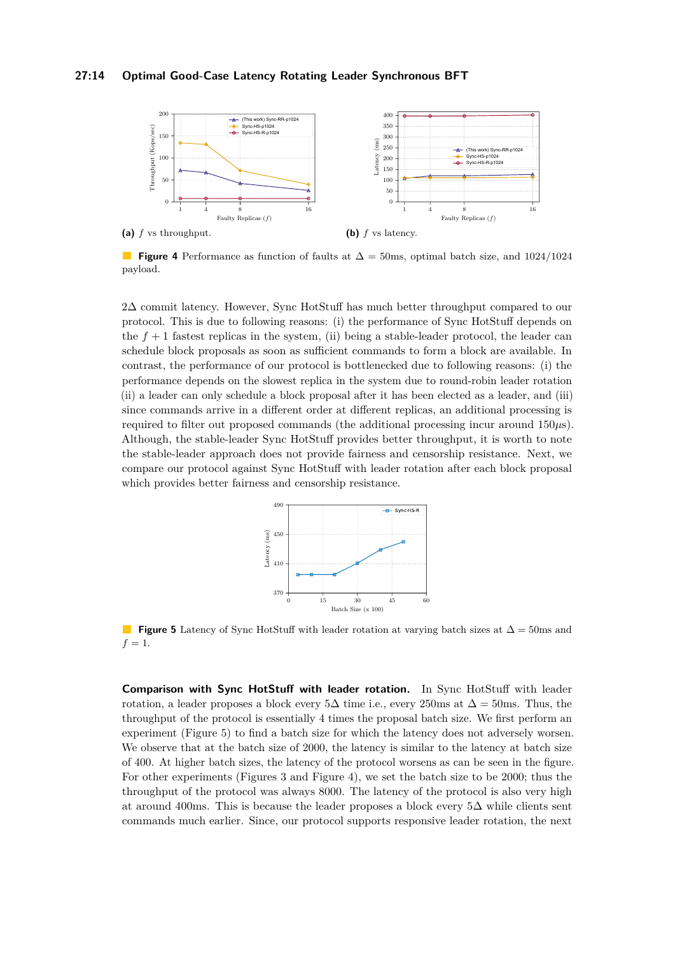# **27:14 Optimal Good-Case Latency Rotating Leader Synchronous BFT**

<span id="page-13-0"></span>

**Figure 4** Performance as function of faults at ∆ = 50ms, optimal batch size, and 1024*/*1024 payload.

2∆ commit latency. However, Sync HotStuff has much better throughput compared to our protocol. This is due to following reasons: (i) the performance of Sync HotStuff depends on the  $f + 1$  fastest replicas in the system, (ii) being a stable-leader protocol, the leader can schedule block proposals as soon as sufficient commands to form a block are available. In contrast, the performance of our protocol is bottlenecked due to following reasons: (i) the performance depends on the slowest replica in the system due to round-robin leader rotation (ii) a leader can only schedule a block proposal after it has been elected as a leader, and (iii) since commands arrive in a different order at different replicas, an additional processing is required to filter out proposed commands (the additional processing incur around 150*µ*s). Although, the stable-leader Sync HotStuff provides better throughput, it is worth to note the stable-leader approach does not provide fairness and censorship resistance. Next, we compare our protocol against Sync HotStuff with leader rotation after each block proposal which provides better fairness and censorship resistance.



<span id="page-13-1"></span>**Figure 5** Latency of Sync HotStuff with leader rotation at varying batch sizes at ∆ = 50ms and  $f = 1.$ 

**Comparison with Sync HotStuff with leader rotation.** In Sync HotStuff with leader rotation, a leader proposes a block every  $5\Delta$  time i.e., every 250ms at  $\Delta = 50$ ms. Thus, the throughput of the protocol is essentially 4 times the proposal batch size. We first perform an experiment (Figure [5\)](#page-13-1) to find a batch size for which the latency does not adversely worsen. We observe that at the batch size of 2000, the latency is similar to the latency at batch size of 400. At higher batch sizes, the latency of the protocol worsens as can be seen in the figure. For other experiments (Figures [3](#page-12-0) and Figure [4\)](#page-13-0), we set the batch size to be 2000; thus the throughput of the protocol was always 8000. The latency of the protocol is also very high at around 400ms. This is because the leader proposes a block every 5∆ while clients sent commands much earlier. Since, our protocol supports responsive leader rotation, the next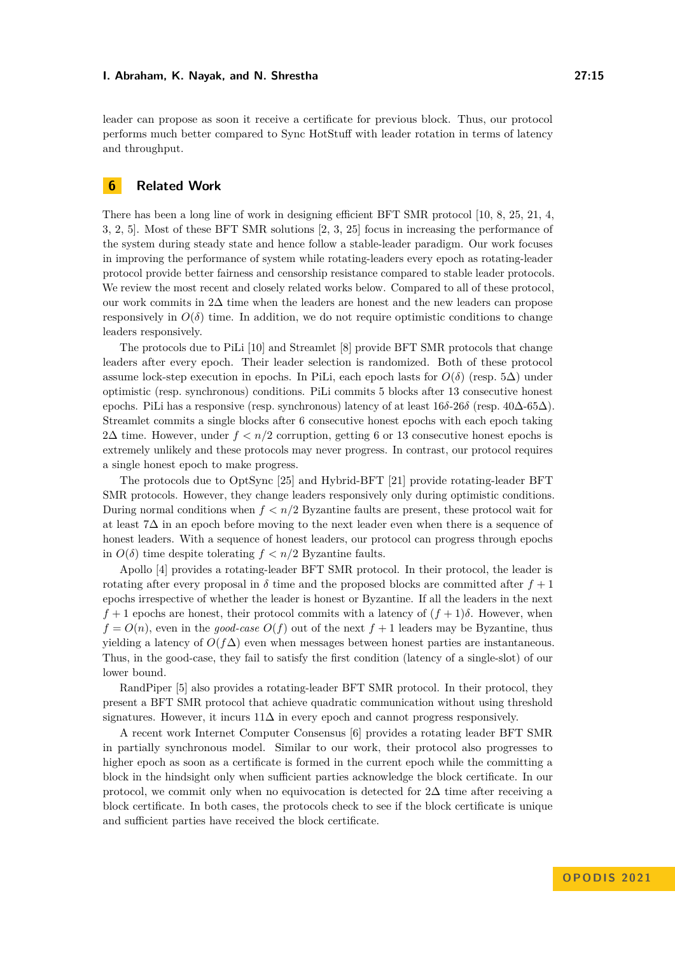leader can propose as soon it receive a certificate for previous block. Thus, our protocol performs much better compared to Sync HotStuff with leader rotation in terms of latency and throughput.

# **6 Related Work**

There has been a long line of work in designing efficient BFT SMR protocol [\[10,](#page-15-8) [8,](#page-15-11) [25,](#page-16-3) [21,](#page-16-4) [4,](#page-15-16) [3,](#page-15-6) [2,](#page-15-0) [5\]](#page-15-18). Most of these BFT SMR solutions [\[2,](#page-15-0) [3,](#page-15-6) [25\]](#page-16-3) focus in increasing the performance of the system during steady state and hence follow a stable-leader paradigm. Our work focuses in improving the performance of system while rotating-leaders every epoch as rotating-leader protocol provide better fairness and censorship resistance compared to stable leader protocols. We review the most recent and closely related works below. Compared to all of these protocol, our work commits in 2∆ time when the leaders are honest and the new leaders can propose responsively in  $O(\delta)$  time. In addition, we do not require optimistic conditions to change leaders responsively.

The protocols due to PiLi [\[10\]](#page-15-8) and Streamlet [\[8\]](#page-15-11) provide BFT SMR protocols that change leaders after every epoch. Their leader selection is randomized. Both of these protocol assume lock-step execution in epochs. In PiLi, each epoch lasts for  $O(\delta)$  (resp. 5 $\Delta$ ) under optimistic (resp. synchronous) conditions. PiLi commits 5 blocks after 13 consecutive honest epochs. PiLi has a responsive (resp. synchronous) latency of at least 16*δ*-26*δ* (resp. 40∆-65∆). Streamlet commits a single blocks after 6 consecutive honest epochs with each epoch taking 2 $\Delta$  time. However, under  $f < n/2$  corruption, getting 6 or 13 consecutive honest epochs is extremely unlikely and these protocols may never progress. In contrast, our protocol requires a single honest epoch to make progress.

The protocols due to OptSync [\[25\]](#page-16-3) and Hybrid-BFT [\[21\]](#page-16-4) provide rotating-leader BFT SMR protocols. However, they change leaders responsively only during optimistic conditions. During normal conditions when *f < n/*2 Byzantine faults are present, these protocol wait for at least 7∆ in an epoch before moving to the next leader even when there is a sequence of honest leaders. With a sequence of honest leaders, our protocol can progress through epochs in  $O(\delta)$  time despite tolerating  $f < n/2$  Byzantine faults.

Apollo [\[4\]](#page-15-16) provides a rotating-leader BFT SMR protocol. In their protocol, the leader is rotating after every proposal in  $\delta$  time and the proposed blocks are committed after  $f + 1$ epochs irrespective of whether the leader is honest or Byzantine. If all the leaders in the next  $f + 1$  epochs are honest, their protocol commits with a latency of  $(f + 1)\delta$ . However, when  $f = O(n)$ , even in the *good-case*  $O(f)$  out of the next  $f + 1$  leaders may be Byzantine, thus yielding a latency of  $O(f\Delta)$  even when messages between honest parties are instantaneous. Thus, in the good-case, they fail to satisfy the first condition (latency of a single-slot) of our lower bound.

RandPiper [\[5\]](#page-15-18) also provides a rotating-leader BFT SMR protocol. In their protocol, they present a BFT SMR protocol that achieve quadratic communication without using threshold signatures. However, it incurs  $11\Delta$  in every epoch and cannot progress responsively.

A recent work Internet Computer Consensus [\[6\]](#page-15-19) provides a rotating leader BFT SMR in partially synchronous model. Similar to our work, their protocol also progresses to higher epoch as soon as a certificate is formed in the current epoch while the committing a block in the hindsight only when sufficient parties acknowledge the block certificate. In our protocol, we commit only when no equivocation is detected for  $2\Delta$  time after receiving a block certificate. In both cases, the protocols check to see if the block certificate is unique and sufficient parties have received the block certificate.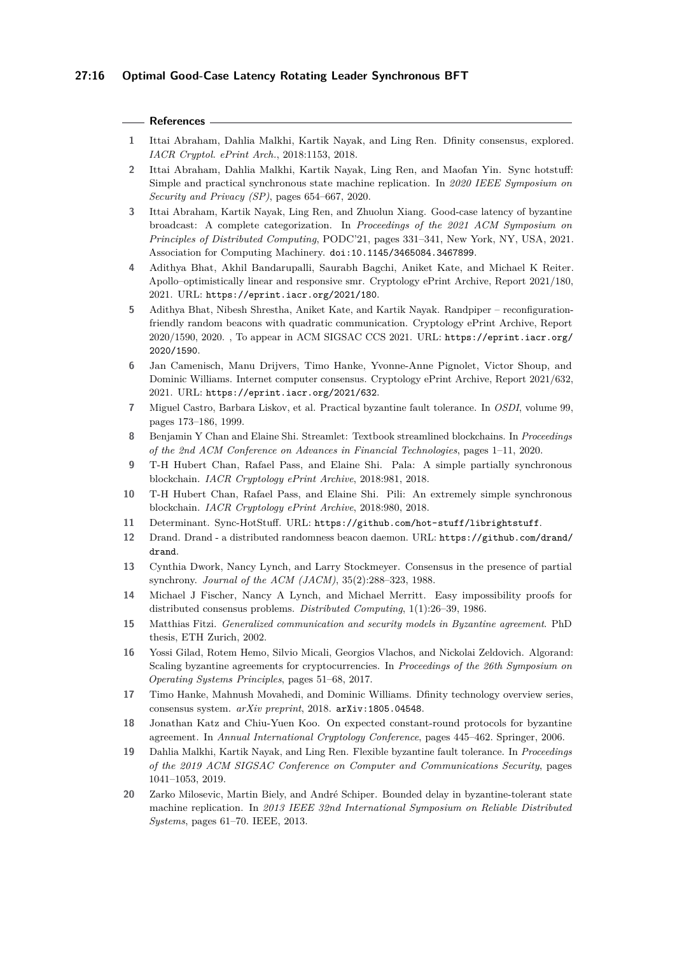#### **References**

- <span id="page-15-13"></span>**1** Ittai Abraham, Dahlia Malkhi, Kartik Nayak, and Ling Ren. Dfinity consensus, explored. *IACR Cryptol. ePrint Arch.*, 2018:1153, 2018.
- <span id="page-15-0"></span>**2** Ittai Abraham, Dahlia Malkhi, Kartik Nayak, Ling Ren, and Maofan Yin. Sync hotstuff: Simple and practical synchronous state machine replication. In *2020 IEEE Symposium on Security and Privacy (SP)*, pages 654–667, 2020.
- <span id="page-15-6"></span>**3** Ittai Abraham, Kartik Nayak, Ling Ren, and Zhuolun Xiang. Good-case latency of byzantine broadcast: A complete categorization. In *Proceedings of the 2021 ACM Symposium on Principles of Distributed Computing*, PODC'21, pages 331–341, New York, NY, USA, 2021. Association for Computing Machinery. [doi:10.1145/3465084.3467899](https://doi.org/10.1145/3465084.3467899).
- <span id="page-15-16"></span>**4** Adithya Bhat, Akhil Bandarupalli, Saurabh Bagchi, Aniket Kate, and Michael K Reiter. Apollo–optimistically linear and responsive smr. Cryptology ePrint Archive, Report 2021/180, 2021. URL: <https://eprint.iacr.org/2021/180>.
- <span id="page-15-18"></span>**5** Adithya Bhat, Nibesh Shrestha, Aniket Kate, and Kartik Nayak. Randpiper – reconfigurationfriendly random beacons with quadratic communication. Cryptology ePrint Archive, Report 2020/1590, 2020. , To appear in ACM SIGSAC CCS 2021. URL: [https://eprint.iacr.org/](https://eprint.iacr.org/2020/1590) [2020/1590](https://eprint.iacr.org/2020/1590).
- <span id="page-15-19"></span>**6** Jan Camenisch, Manu Drijvers, Timo Hanke, Yvonne-Anne Pignolet, Victor Shoup, and Dominic Williams. Internet computer consensus. Cryptology ePrint Archive, Report 2021/632, 2021. URL: <https://eprint.iacr.org/2021/632>.
- <span id="page-15-1"></span>**7** Miguel Castro, Barbara Liskov, et al. Practical byzantine fault tolerance. In *OSDI*, volume 99, pages 173–186, 1999.
- <span id="page-15-11"></span>**8** Benjamin Y Chan and Elaine Shi. Streamlet: Textbook streamlined blockchains. In *Proceedings of the 2nd ACM Conference on Advances in Financial Technologies*, pages 1–11, 2020.
- <span id="page-15-7"></span>**9** T-H Hubert Chan, Rafael Pass, and Elaine Shi. Pala: A simple partially synchronous blockchain. *IACR Cryptology ePrint Archive*, 2018:981, 2018.
- <span id="page-15-8"></span>**10** T-H Hubert Chan, Rafael Pass, and Elaine Shi. Pili: An extremely simple synchronous blockchain. *IACR Cryptology ePrint Archive*, 2018:980, 2018.
- <span id="page-15-17"></span>**11** Determinant. Sync-HotStuff. URL: <https://github.com/hot-stuff/librightstuff>.
- <span id="page-15-14"></span>**12** Drand. Drand - a distributed randomness beacon daemon. URL: [https://github.com/drand/](https://github.com/drand/drand) [drand](https://github.com/drand/drand).
- <span id="page-15-5"></span>**13** Cynthia Dwork, Nancy Lynch, and Larry Stockmeyer. Consensus in the presence of partial synchrony. *Journal of the ACM (JACM)*, 35(2):288–323, 1988.
- <span id="page-15-2"></span>**14** Michael J Fischer, Nancy A Lynch, and Michael Merritt. Easy impossibility proofs for distributed consensus problems. *Distributed Computing*, 1(1):26–39, 1986.
- <span id="page-15-3"></span>**15** Matthias Fitzi. *Generalized communication and security models in Byzantine agreement*. PhD thesis, ETH Zurich, 2002.
- <span id="page-15-9"></span>**16** Yossi Gilad, Rotem Hemo, Silvio Micali, Georgios Vlachos, and Nickolai Zeldovich. Algorand: Scaling byzantine agreements for cryptocurrencies. In *Proceedings of the 26th Symposium on Operating Systems Principles*, pages 51–68, 2017.
- <span id="page-15-10"></span>**17** Timo Hanke, Mahnush Movahedi, and Dominic Williams. Dfinity technology overview series, consensus system. *arXiv preprint*, 2018. [arXiv:1805.04548](http://arxiv.org/abs/1805.04548).
- <span id="page-15-4"></span>**18** Jonathan Katz and Chiu-Yuen Koo. On expected constant-round protocols for byzantine agreement. In *Annual International Cryptology Conference*, pages 445–462. Springer, 2006.
- <span id="page-15-15"></span>**19** Dahlia Malkhi, Kartik Nayak, and Ling Ren. Flexible byzantine fault tolerance. In *Proceedings of the 2019 ACM SIGSAC Conference on Computer and Communications Security*, pages 1041–1053, 2019.
- <span id="page-15-12"></span>**20** Zarko Milosevic, Martin Biely, and André Schiper. Bounded delay in byzantine-tolerant state machine replication. In *2013 IEEE 32nd International Symposium on Reliable Distributed Systems*, pages 61–70. IEEE, 2013.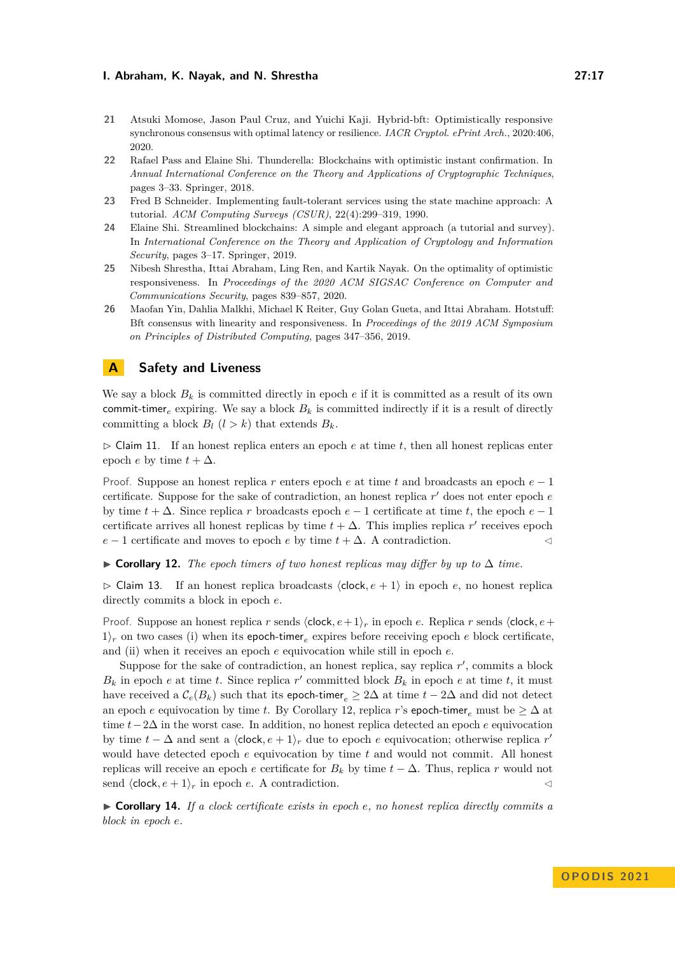- <span id="page-16-4"></span>**21** Atsuki Momose, Jason Paul Cruz, and Yuichi Kaji. Hybrid-bft: Optimistically responsive synchronous consensus with optimal latency or resilience. *IACR Cryptol. ePrint Arch.*, 2020:406, 2020.
- <span id="page-16-1"></span>**22** Rafael Pass and Elaine Shi. Thunderella: Blockchains with optimistic instant confirmation. In *Annual International Conference on the Theory and Applications of Cryptographic Techniques*, pages 3–33. Springer, 2018.
- <span id="page-16-5"></span>**23** Fred B Schneider. Implementing fault-tolerant services using the state machine approach: A tutorial. *ACM Computing Surveys (CSUR)*, 22(4):299–319, 1990.
- <span id="page-16-2"></span>**24** Elaine Shi. Streamlined blockchains: A simple and elegant approach (a tutorial and survey). In *International Conference on the Theory and Application of Cryptology and Information Security*, pages 3–17. Springer, 2019.
- <span id="page-16-3"></span>**25** Nibesh Shrestha, Ittai Abraham, Ling Ren, and Kartik Nayak. On the optimality of optimistic responsiveness. In *Proceedings of the 2020 ACM SIGSAC Conference on Computer and Communications Security*, pages 839–857, 2020.
- <span id="page-16-0"></span>**26** Maofan Yin, Dahlia Malkhi, Michael K Reiter, Guy Golan Gueta, and Ittai Abraham. Hotstuff: Bft consensus with linearity and responsiveness. In *Proceedings of the 2019 ACM Symposium on Principles of Distributed Computing*, pages 347–356, 2019.

# <span id="page-16-6"></span>**A Safety and Liveness**

We say a block  $B_k$  is committed directly in epoch  $e$  if it is committed as a result of its own commit-timer<sub>e</sub> expiring. We say a block  $B_k$  is committed indirectly if it is a result of directly committing a block  $B_l$   $(l > k)$  that extends  $B_k$ .

<span id="page-16-10"></span> $\triangleright$  Claim 11. If an honest replica enters an epoch  $e$  at time  $t$ , then all honest replicas enter epoch *e* by time  $t + \Delta$ .

Proof. Suppose an honest replica *r* enters epoch *e* at time *t* and broadcasts an epoch *e* − 1 certificate. Suppose for the sake of contradiction, an honest replica *r* ′ does not enter epoch *e* by time  $t + \Delta$ . Since replica *r* broadcasts epoch  $e - 1$  certificate at time *t*, the epoch  $e - 1$ certificate arrives all honest replicas by time  $t + \Delta$ . This implies replica r' receives epoch *e* − 1 certificate and moves to epoch *e* by time *t* + ∆. A contradiction. ◁

<span id="page-16-7"></span>▶ **Corollary 12.** *The epoch timers of two honest replicas may differ by up to* ∆ *time.*

▷ Claim 13. If an honest replica broadcasts ⟨clock*, e* + 1⟩ in epoch *e*, no honest replica directly commits a block in epoch *e*.

Proof. Suppose an honest replica *r* sends ⟨clock*, e*+ 1⟩*<sup>r</sup>* in epoch *e*. Replica *r* sends ⟨clock*, e*+  $1/r$  on two cases (i) when its epoch-timer<sub>e</sub> expires before receiving epoch *e* block certificate, and (ii) when it receives an epoch *e* equivocation while still in epoch *e*.

Suppose for the sake of contradiction, an honest replica, say replica r', commits a block  $B_k$  in epoch *e* at time *t*. Since replica *r*<sup>'</sup> committed block  $B_k$  in epoch *e* at time *t*, it must have received a  $\mathcal{C}_e(B_k)$  such that its epoch-timer<sub>e</sub>  $\geq 2\Delta$  at time  $t-2\Delta$  and did not detect an epoch *e* equivocation by time *t*. By Corollary [12,](#page-16-7) replica *r*'s epoch-timer<sub>e</sub> must be  $\geq \Delta$  at time *t*−2∆ in the worst case. In addition, no honest replica detected an epoch *e* equivocation by time  $t - \Delta$  and sent a  $\langle \text{clock}, e + 1 \rangle_r$  due to epoch *e* equivocation; otherwise replica *r*<sup>*'*</sup> would have detected epoch *e* equivocation by time *t* and would not commit. All honest replicas will receive an epoch *e* certificate for  $B_k$  by time  $t - \Delta$ . Thus, replica *r* would not send  $\langle \text{clock}, e + 1 \rangle_r$  in epoch *e*. A contradiction.  $\langle \rangle$ 

<span id="page-16-9"></span><span id="page-16-8"></span>▶ **Corollary 14.** *If a clock certificate exists in epoch e, no honest replica directly commits a block in epoch e.*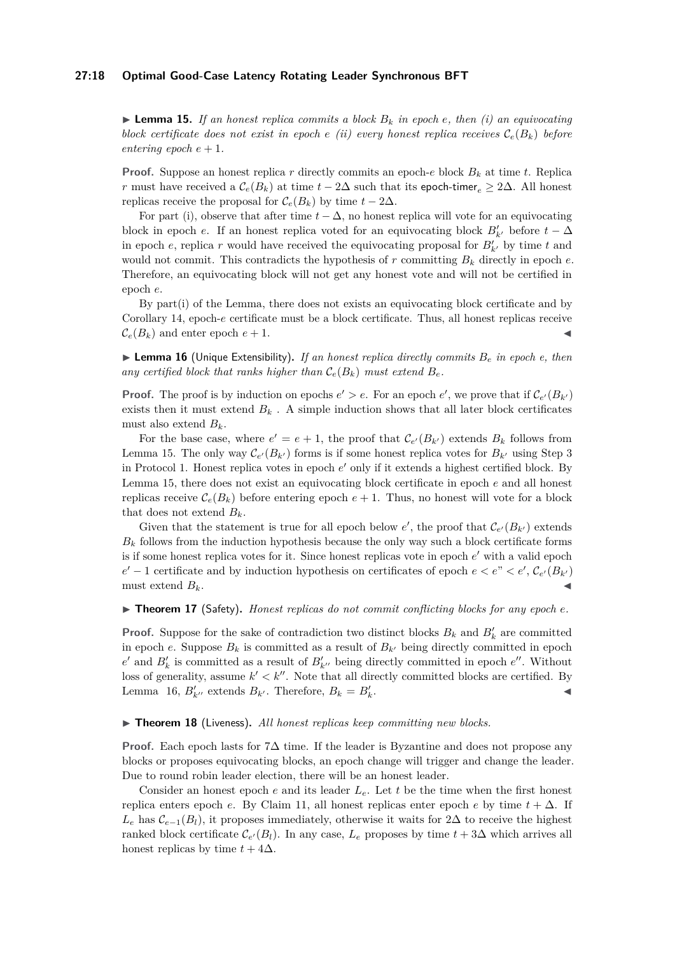#### **27:18 Optimal Good-Case Latency Rotating Leader Synchronous BFT**

 $\blacktriangleright$  **Lemma 15.** If an honest replica commits a block  $B_k$  in epoch e, then (i) an equivocating *block certificate does not exist in epoch*  $e(ii)$  *every honest replica receives*  $C_e(B_k)$  before *entering epoch*  $e + 1$ .

**Proof.** Suppose an honest replica r directly commits an epoch- $e$  block  $B_k$  at time  $t$ . Replica *r* must have received a  $\mathcal{C}_e(B_k)$  at time  $t - 2\Delta$  such that its epoch-timer<sub>e</sub>  $\geq 2\Delta$ . All honest replicas receive the proposal for  $\mathcal{C}_e(B_k)$  by time  $t - 2\Delta$ .

For part (i), observe that after time  $t - \Delta$ , no honest replica will vote for an equivocating block in epoch *e*. If an honest replica voted for an equivocating block  $B'_{k'}$  before  $t - \Delta$ in epoch  $e$ , replica  $r$  would have received the equivocating proposal for  $B'_{k'}$  by time  $t$  and would not commit. This contradicts the hypothesis of  $r$  committing  $B_k$  directly in epoch  $e$ . Therefore, an equivocating block will not get any honest vote and will not be certified in epoch *e*.

By part(i) of the Lemma, there does not exists an equivocating block certificate and by Corollary [14,](#page-16-8) epoch-*e* certificate must be a block certificate. Thus, all honest replicas receive  $\mathcal{C}_e(B_k)$  and enter epoch  $e+1$ .

<span id="page-17-0"></span> $\blacktriangleright$  **Lemma 16** (Unique Extensibility). If an honest replica directly commits  $B_e$  in epoch e, then any certified block that ranks higher than  $\mathcal{C}_e(B_k)$  must extend  $B_e$ .

**Proof.** The proof is by induction on epochs  $e' > e$ . For an epoch  $e'$ , we prove that if  $\mathcal{C}_{e'}(B_{k'})$ exists then it must extend  $B_k$ . A simple induction shows that all later block certificates must also extend  $B_k$ .

For the base case, where  $e' = e + 1$ , the proof that  $C_{e'}(B_{k'})$  extends  $B_k$  follows from Lemma [15.](#page-16-9) The only way  $\mathcal{C}_{e'}(B_{k'})$  forms is if some honest replica votes for  $B_{k'}$  using Step [3](#page-8-1) in Protocol [1.](#page-8-0) Honest replica votes in epoch *e* ′ only if it extends a highest certified block. By Lemma [15,](#page-16-9) there does not exist an equivocating block certificate in epoch *e* and all honest replicas receive  $\mathcal{C}_e(B_k)$  before entering epoch  $e+1$ . Thus, no honest will vote for a block that does not extend  $B_k$ .

Given that the statement is true for all epoch below  $e'$ , the proof that  $\mathcal{C}_{e'}(B_{k'})$  extends  $B_k$  follows from the induction hypothesis because the only way such a block certificate forms is if some honest replica votes for it. Since honest replicas vote in epoch *e* ′ with a valid epoch  $e' - 1$  certificate and by induction hypothesis on certificates of epoch  $e < e'' < e'$ ,  $C_{e'}(B_{k'})$  $must$  extend  $B_k$ .

### ▶ **Theorem 17** (Safety). *Honest replicas do not commit conflicting blocks for any epoch <i>e*.

**Proof.** Suppose for the sake of contradiction two distinct blocks  $B_k$  and  $B'_k$  are committed in epoch *e*. Suppose  $B_k$  is committed as a result of  $B_{k'}$  being directly committed in epoch  $e'$  and  $B'_k$  is committed as a result of  $B'_{k''}$  being directly committed in epoch  $e''$ . Without loss of generality, assume  $k' < k''$ . Note that all directly committed blocks are certified. By Lemma [16,](#page-17-0)  $B'_{k''}$  extends  $B_{k'}$ . Therefore,  $B_k = B'_k$ . ◀

## ▶ **Theorem 18** (Liveness)**.** *All honest replicas keep committing new blocks.*

**Proof.** Each epoch lasts for 7∆ time. If the leader is Byzantine and does not propose any blocks or proposes equivocating blocks, an epoch change will trigger and change the leader. Due to round robin leader election, there will be an honest leader.

Consider an honest epoch *e* and its leader *Le*. Let *t* be the time when the first honest replica enters epoch *e*. By Claim [11,](#page-16-10) all honest replicas enter epoch *e* by time  $t + \Delta$ . If  $L_e$  has  $\mathcal{C}_{e-1}(B_l)$ , it proposes immediately, otherwise it waits for 2∆ to receive the highest ranked block certificate  $\mathcal{C}_{e'}(B_l)$ . In any case,  $L_e$  proposes by time  $t + 3\Delta$  which arrives all honest replicas by time  $t + 4\Delta$ .